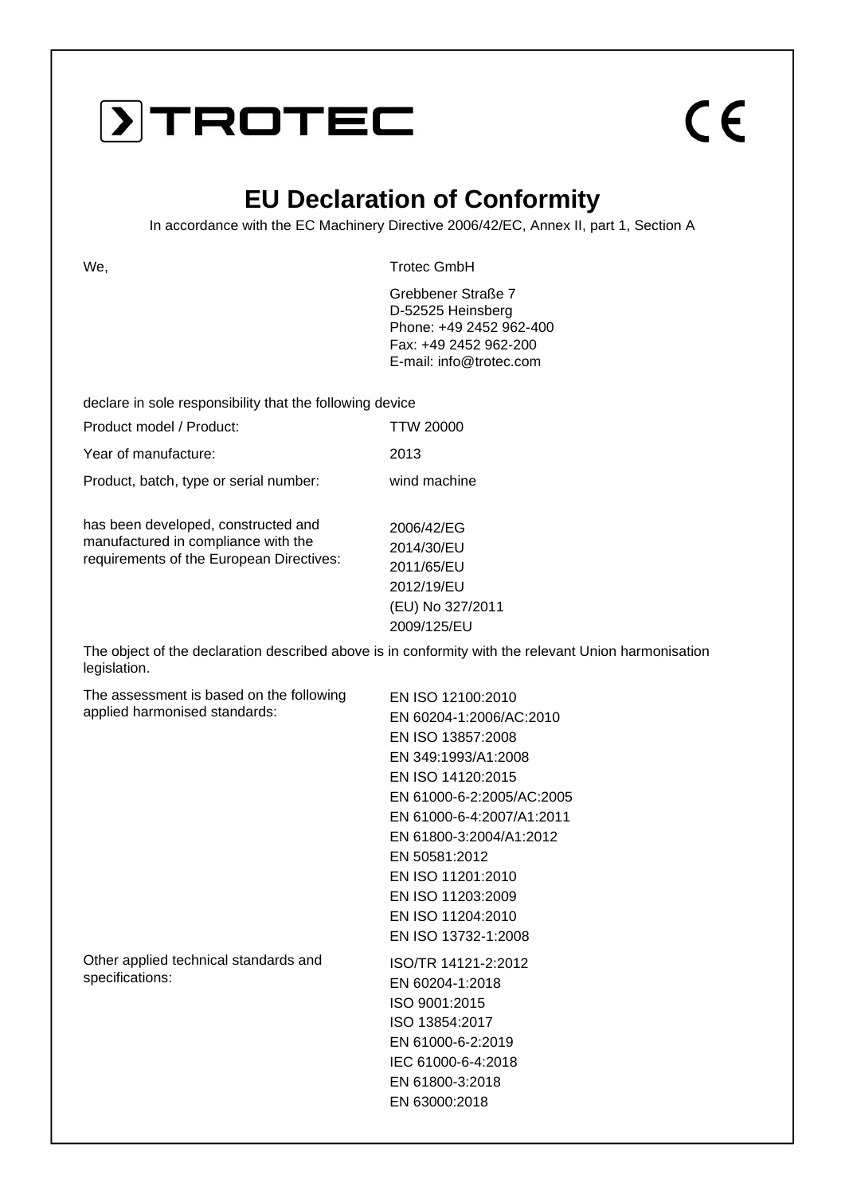### DTROTEC

# $C \in$

#### **EU Declaration of Conformity**

In accordance with the EC Machinery Directive 2006/42/EC, Annex II, part 1, Section A

We, the contract of the contract of the contract of the contract of the contract of the contract of the contract of the contract of the contract of the contract of the contract of the contract of the contract of the contra

Grebbener Straße 7 D-52525 Heinsberg Phone: +49 2452 962-400 Fax: +49 2452 962-200 E-mail: info@trotec.com

declare in sole responsibility that the following device

| Product model / Product:                                                                                               | <b>TTW 20000</b>                                                         |
|------------------------------------------------------------------------------------------------------------------------|--------------------------------------------------------------------------|
| Year of manufacture:                                                                                                   | 2013                                                                     |
| Product, batch, type or serial number:                                                                                 | wind machine                                                             |
| has been developed, constructed and<br>manufactured in compliance with the<br>requirements of the European Directives: | 2006/42/EG<br>2014/30/EU<br>2011/65/EU<br>2012/19/EU<br>(EU) No 327/2011 |

The object of the declaration described above is in conformity with the relevant Union harmonisation legislation.

2009/125/EU

| The assessment is based on the following<br>applied harmonised standards: | EN ISO 12100:2010         |
|---------------------------------------------------------------------------|---------------------------|
|                                                                           | EN 60204-1:2006/AC:2010   |
|                                                                           | EN ISO 13857:2008         |
|                                                                           | EN 349:1993/A1:2008       |
|                                                                           | EN ISO 14120:2015         |
|                                                                           | EN 61000-6-2:2005/AC:2005 |
|                                                                           | EN 61000-6-4:2007/A1:2011 |
|                                                                           | EN 61800-3:2004/A1:2012   |
|                                                                           | EN 50581:2012             |
|                                                                           | EN ISO 11201:2010         |
|                                                                           | EN ISO 11203:2009         |
|                                                                           | EN ISO 11204:2010         |
|                                                                           | EN ISO 13732-1:2008       |
| Other applied technical standards and                                     | ISO/TR 14121-2:2012       |
| specifications:                                                           | EN 60204-1:2018           |
|                                                                           | ISO 9001:2015             |
|                                                                           | ISO 13854:2017            |
|                                                                           | EN 61000-6-2:2019         |
|                                                                           | IEC 61000-6-4:2018        |
|                                                                           | EN 61800-3:2018           |
|                                                                           | EN 63000:2018             |
|                                                                           |                           |